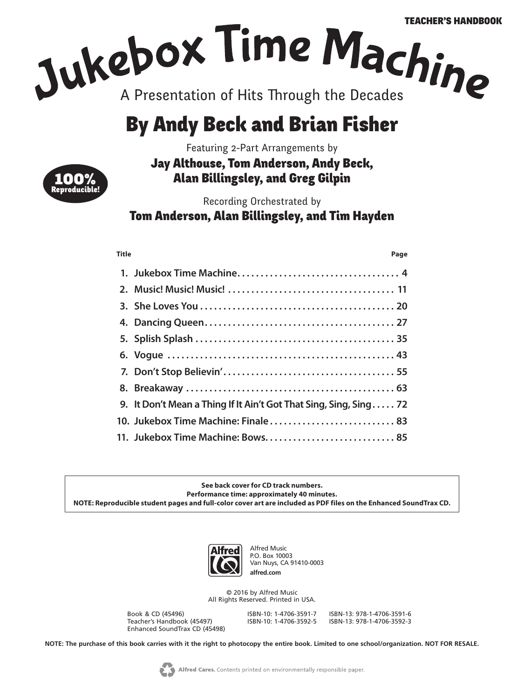# By Andy Beck and Brian Fisher

Featuring 2-Part Arrangements by



Jay Althouse, Tom Anderson, Andy Beck, Alan Billingsley, and Greg Gilpin

Recording Orchestrated by

Tom Anderson, Alan Billingsley, and Tim Hayden

**Title Page**

| 9. It Don't Mean a Thing If It Ain't Got That Sing, Sing, Sing 72 |
|-------------------------------------------------------------------|
| 10. Jukebox Time Machine: Finale 83                               |
|                                                                   |

**See back cover for CD track numbers. Performance time: approximately 40 minutes. NOTE: Reproducible student pages and full-color cover art are included as PDF files on the Enhanced SoundTrax CD.** 



Alfred Music P.O. Box 10003 Van Nuys, CA 91410-0003 **alfred.com**

© 2016 by Alfred Music All Rights Reserved. Printed in USA.

Book & CD (45496) ISBN-10: 1-4706-3591-7 ISBN-13: 978-1-4706-3591-6 Teacher's Handbook (45497) Enhanced SoundTrax CD (45498)

**NOTE: The purchase of this book carries with it the right to photocopy the entire book. Limited to one school/organization. NOT FOR RESALE.**

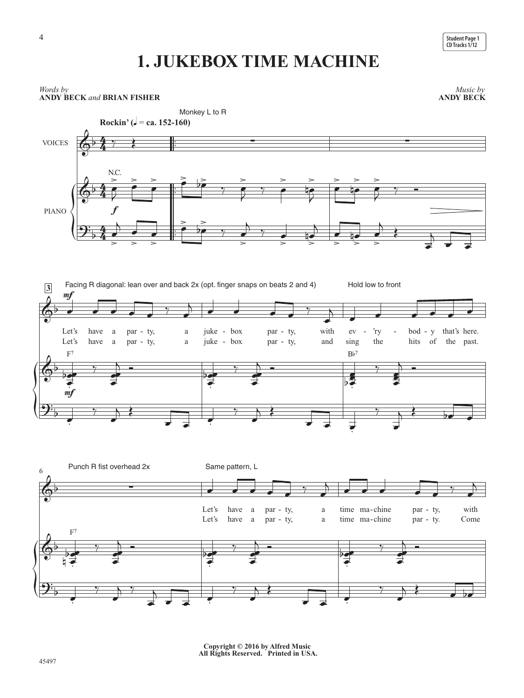

### **1. JUKEBOX TIME MACHINE**



**Copyright © 2016 by Alfred Music All Rights Reserved. Printed in USA.**